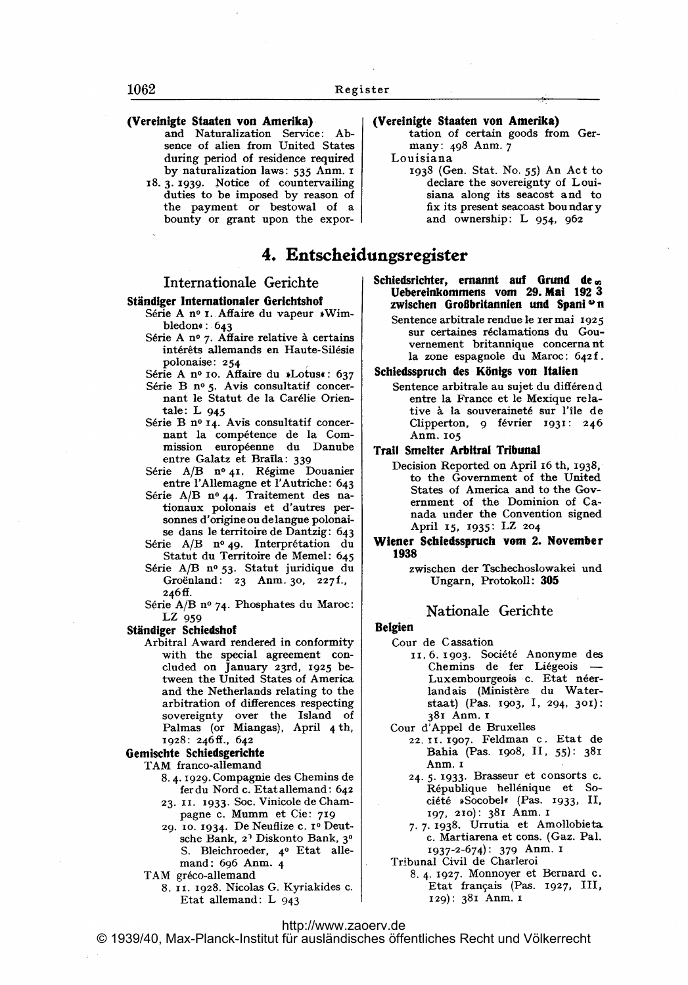## (Vereinigte Staaten von Amerika)

- and Naturalization Service: Absence of alien from United States during period of residence required by naturalization laws: 535 Anm. I
- 18.3.1939. Notice of countervailing duties to be imposed by reason of the payment or bestowal of a bounty or grant upon the expor-

# 4. Entscheidungsregister

# Internationale Gerichte

#### Ständiger Internationaler Gerichtshof

- Série A nº 1. Affaire du vapeur »Wimbledon«: .643
	- Série A nº 7. Affaire relative à certains int6r6ts allemands en Haute-Sil6sie polonaise: 254
- Série A nº 10. Affaire du »Lotus«: 637 Série B nº 5. Avis consultatif concernant le Statut de la Carélie Orientale: L <sup>945</sup>
- Série B nº 14. Avis consultatif concernant la compétence de la Commission européenne du Danube entre Galatz et Braila: 339
- Série A/B nº 41. Régime Douanier entre I'Allemagne et I'Autriche: 643
- Série A/B nº 44. Traitement des nationaux polonais et d'autres personnes d'origine ou delangue polonaise dans le territoire de Dantzig: 643 Série A/B nº 49. Interprétation du
- Statut du Territoire de Memel: 645
- Série A/B nº 53. Statut juridique du Groënland: 23 Anm. 30, 227f., 246ff.
- Série A/B nº 74. Phosphates du Maroc: LZ <sup>959</sup>

Ständiger Schiedshof

Arbitral Award rendered in conformity with the special agreement concluded on January 23rd, 1925 between the United States of America and the Netherlands relating to the arbitration of differences respecting sovereignty over the Island of Palmas (or Miangas), April 4 th, 1928: 246ff., 642

#### Gemischte Schiedsgerichte

- TAM franco-allemand
	- 8.4- 11929. Compagnie des Chemins de fer du Nord c. Etat allemand: 642 23. II. 1933. Soc. Vinicole de Cham-
	- pagne c. Mumm et Cie: <sup>719</sup>
	- 29. 10- 1934. De Neuflize c. io Dentsche Bank, 21 Diskonto Bank, 3' S. Bleichroeder, 4o Etat allemand: 696 Anm. 4
	- TAM gréco-allemand
		- 8. 11. 1928. Nicolas G. Kyriakides c. Etat allemand: L <sup>943</sup>

### (Vereinigte Staaten von Amerika)

tation of certain goods from Germany: 498 Anm. 7

- Louisiana
	- 1938 (Gen. Stat. No. 55) An Act to declare the sovereignty of Louisiana along its seacost and to fix its present seacoast boundary and ownership: L 954, 962

- Schiedsrichter, ernannt auf Grund de. Uebereinkommens vom 29. Mal 192 3 zwischen Großbritannien und Spani<sup>o</sup>n
	- Sentence arbitrale rendue le rer mai 1925 sur certaines réclamations du Gouvernement britannique concerna nt la zone espagnole du Maroc: 642f.

#### Schiedsspruch des Königs von Italien

Sentence arbitrale au sujet du différend entre la France et le Mexique relative à la souveraineté sur l'île de Clipperton, 9 février 1931: 246 Anm. <sup>105</sup>

#### Trail Smelter Arbitral Tribunal

- Decision Reported on April 16 th, 1938, to the Government of the United States of America and to the Government of the Dominion of Canada under the Convention signed April 15, X935: LZ <sup>204</sup>
- Wiener Schiedsspruch vom 2. November 1938

zwischen der Tschechoslowakei und Ungarn, Protokoll: 305

#### Nationale Gerichte

#### Belgien

- Cour de Cassation
	- 11.6.1903. Société Anonyme des<br>Chemins de fer Liégeois -Luxembourgeois c. Etat néerlandais (Ministère du Waterstaat) (Pas. 1903, 1, 294, 301): <sup>381</sup> Anm. <sup>i</sup>
- Cour d'Appel de Bruxelles
	- 22. II. 1907. Feldman c. Etat de Bahia (Pas. i9o8, 11, 55): 381 Anm. <sup>i</sup>
	- 24- 5. 1933. Brasseur et consorts c. R6publique hell6nique et Société »Socobel« (Pas. 1933, II, 197, 210): <sup>381</sup> Anm. <sup>i</sup>
	- 7.7-1938. Urrutia et Amollobieta. c. Martiarena et cons. (Gaz. Pal. 1937-2-674): <sup>379</sup> Anm. <sup>i</sup>

Tribunal Civil de Charleroi

8.4. 1927. Monnoyer et Bernard c. Etat français (Pas. 1927, III, 129): <sup>381</sup> Anm. <sup>i</sup>

# <http://www.zaoerv.de>

© 1939/40, Max-Planck-Institut für ausländisches öffentliches Recht und Völkerrecht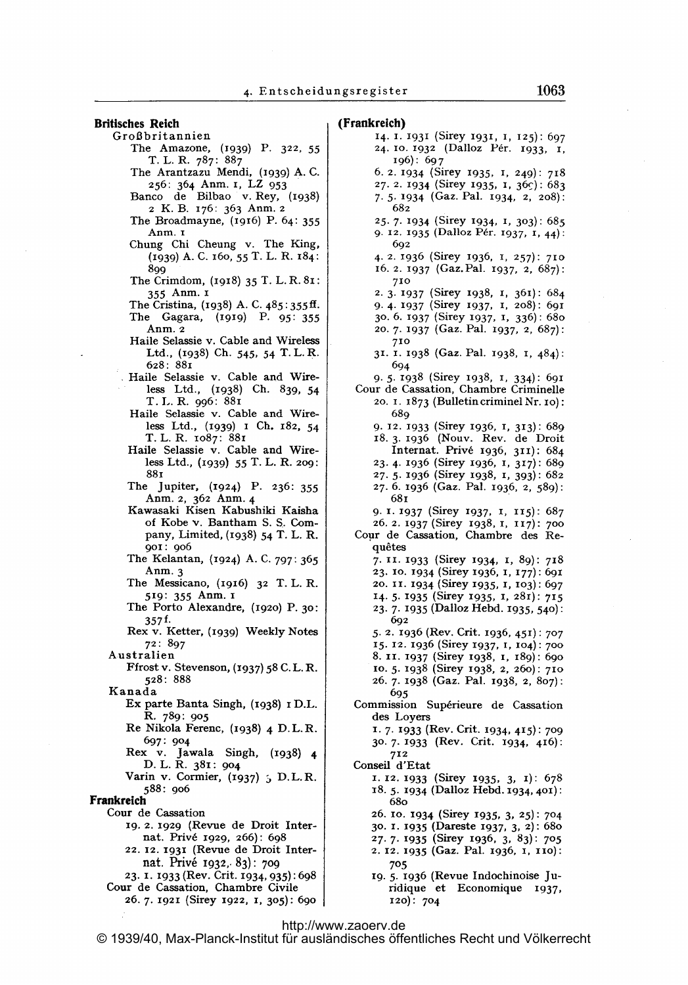Britisches Reich Großbritannien The Amazone, (1939) P. 322, 55 T. L. R. 787: 887 The Arantzazu Mendi, (1939) A. C. 256: <sup>364</sup> Anm. i, LZ <sup>953</sup> Banco de Bilbao v. Rey, (1938) <sup>2</sup> K. B. 176: 363 Anm. <sup>2</sup> The Broadmayne, (xq16) P. 64: 355 Anm. <sup>1</sup> Chung Chi Cheung v. The King, (1939) A. C. 160, 55 T. L. R. 184: 899 The Crimdom, (1918) 35 T. L. R. 81: <sup>355</sup> Anm. <sup>1</sup> The Cristina, (1938) A. C. 485:355ff. The Gagara, (1919) P. 95: 355 Anm. 2 Haile Selassie v. Cable and Wireless Ltd., (1938) Ch. 545, 54 T. L. R. 628: 881 Haile Selassie v. Cable and Wireless Ltd., (1938) Ch. 839, 54 T. L. R. 996: 881 Haile Selassie v. Cable and Wireless Ltd., (1939) <sup>1</sup> Ch. 182, 54 T. L. R. io87: 881 Haile Selassie v. Cable and Wireless Ltd., (1939) 55 T. L. R. 2og: 881 The Jupiter, (1924) P. 236: 355 Anm. 2, <sup>362</sup> Anm- <sup>4</sup> Kawasaki Kisen Kabushiki Kaisha of Kobev. Bantham S. S.. Company, Limited, (1938) 54 T. L. R. goi: qo6 The Kelantan, (1924) A. C. 797: 365 Anm. 3 The Messicano, (1916) 32 T. L. R. 519: 355 Anm. <sup>1</sup> The Porto Alexandre, (1920) P. 30: 357f. Rex v. Ketter, (1939) Weekly Notes 72: 897 Australien Ffrost v. Stevenson, (1937) 58 C. L. R. 528: 888 Kanada Ex parte Banta Singh, (1938) <sup>1</sup> D.L. R. 789: 905 Re Nikola Ferenc, (1938) <sup>4</sup> D.L.R. 697: 904 Rex v. jawala Singh, (1938) <sup>4</sup> D. L. R. 381: 904 Varin v. Cormier,  $(1937)$ ; D.L.R. 588: qo6 Frankreich Cour de Cassation 19. 2. 1929 (Revue de Droit Internat. Priv6 1929, 266): 698 22. 12-1931 (Revue de Droit Internat. Privé 1932, 83): 709 23. 1. 1933 (Rev. Crit. 1934, 935): 698 Cour de Cassation, Chambre Civile 26-7. 1921 (Sirey 1922, 1, 305): 69o

#### (Frankreich) 14. 1. 1931 (Sirey 1931, 1, 125): 697 24. 10. 1932 (Dalloz Pér. 1933, 1, 196): 69 7 6. 2. 1934 (Sirey 1935, 1, 249): 718 27. 2. 1934 (Sirey 1935, 1, 36c): 683 7.5. 1934 (Gaz. Pal. 1934, 2, 2o8): 682 25. 7. 1934 (Sirey 1934, 1, 303): 685 9. 12. 1935 (Dalloz Pér. 1937, 1, 44): 692 4. 2. 1936 (Sirey 1936, 1, 257): 710 16.2. 1937 (Gaz.Pal. 1937, 2, 687): 710 2. 3. 1937 (Sirey 1938, 1, 361): 684 9. 4- 1937 (Sirey 1937, 1, 2o8): 691 30. 6. 1937 (Sirey 1937, 1, 336): 68o 20- 7- 1937 (Gaz. Pal. 1937, 2, 687): 710 31. 1. 1938 (Gaz. Pal. 1938, 1, 484): 694 9- 5. 1938 (Sirey 1938, 1, 334): 691 Cour de Cassation, Chambre Criminelle 20. 1. 1873 (Bulletin criminel Nr. io): 689 9. 12. 1933 (Sirey 1936, 1, 313): 689 18.3. 1936 (Nouv. Rev. de Droit Internat. Privé 1936, 311): 684 23. 4. 1936 (Sirey 1936, 1, 317): 689 27. 5. 1936 (Sirey 1938, 1, 393): 682 27. 6. 1936 (Gaz. Pal. 1936, 2, 589): 681 9. I. 1937 (Sirey 1937, I, 115): 687 26. 2. 1937 (Sirey 1938, 1, 117): 700 Copr de Cassation, Chambre des Requ6tes 7. II. 1933 (Sirey 1934, 1, 89): 718 23. 10. 1934 (Sirey 1936, 1, 177): 691 20. 11. 1934 (Sirey 1935, 1, 103): 697 14. 5. 1935 (Sirey 1935, 1, 281): 715 23. 7. 1935 (Dalloz Hebd. 1935, 540): 602 5. 2. 1936 (Rev. Crit. 1936, 451): 707 15. 12. 1936 (Sirey 1937, 1, 104): 700 8. II. 1937 (Sirey 1938, I, 189): 690 110. 5.1938 (Sirey 1938, 2, 260): 710 26. 7- 1938 (Gaz. Pal. 1938, 2, 807): 695 Commission Sup6rieure de Cassation des Loyers 1. 7. 1933 (Rev. Crit. 1934, 415): 709 30.7- 1933 (Rev. Crit. 1934, 416): 712 Conseil d'Etat 1. 12. 1933 (Sirey 1935, 3, 1): 678 18. 5. <sup>1934</sup> (Dalloz Hebd. 1934, 401): 68o 26. io. 1934 (Sirey 1935, 3, 25): 704 30. 1- 1935 (Dareste 1937, 3, 2): 68o 27. 7. 1935 (SireY 1936, 3, 83): 705 2. 12. 1935 (Gaz. Pal. 1936, 1, 110): 705 19- 5. 1936 (Revue Indochinoise Ju-

ridique et Economique 1937, 120): 704

# <http://www.zaoerv.de>

© 1939/40, Max-Planck-Institut für ausländisches öffentliches Recht und Völkerrecht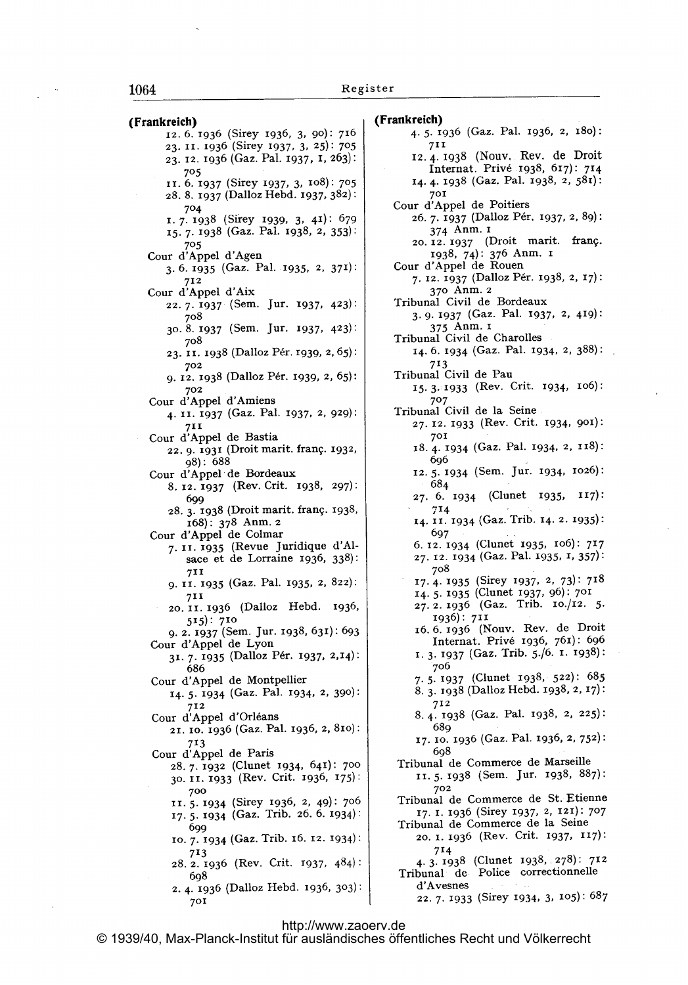(Frankreich) 12. 6. 1936 (Sirey 1936, 3, 90): 716 23. 11. 1936 (Sirey 1937, 3, 25): 705 23- 12. 1936 (Gaz. Pal. 1937, 1, 263): 705 11. 6. 1937 (Sirey 1937, 3, io8): 705 28. 8. 1937 (Dalloz Hebd. 1937, 382): 704 1. 7. 1938 (Sirey 1939, 3, 41): 679 15. 7- 1938 (Gaz. Pal. 1938, 2, 353): 705 Cour d'Appel d'Agen 3. 6. 1935 (Gaz. Pal. 1935, 2, 371): 712 Cour d'Appel d'Aix 22- 7- 1937 (Sem. jur. 1937, 423): 7o8 30. 8. 1937 (Sem. jur. 1937, 423): 708 23. II. 1938 (Dalloz Pér. 1939, 2, 65): 702 9. 12. 1938 (Dalloz Pér. 1939, 2, 65): 702 Cour d'Appel d'Amiens 4. 11. 1937 (Gaz. Pal. 1937, 2, 929): 711 Cour d'Appel de Bastia 22. 9. 1931 (Droit marit. frang. 1932, 98): 688 Cour d'Appel de Bordeaux 8. 12. 1937 (Rev. Crit. 1938, 297): 699 28. 3. 1938 (Droit marit. frang. 1938, 168): 378 Anm. <sup>2</sup> Cour d'Appel de Colmar 7. 11. 1935 (Revue Juridique d'Alsace et de Lorraine 1936, 338): 711 9. II. 1935 (Gaz. Pal. 1935, 2, 822): 711 20, 11. 1936 (Dalloz Hebd. 1936, 515): 710 9. 2. Y937 (Sem. jur. 1938, 631): 693 Cour d'Appel de Lyon 31. 7. 1935 (Dalloz Pér. 1937, 2,14): 686 Cour d'Appel de Montpellier 14- 5- 1934 (Gaz. Pal. 1934, 2, 390): 712 Cour d'Appel d'Orl6ans 21. 10. 1936 (Gaz. Pal. 1936, 2, 81o): 713 Cour d'Appel de Paris 28- 7. 1932 (Clunet 1934, 641): 700 30. II. 1933 (Rev. Crit. 1936, 175): 700 1'. 5. 1934 (Sirey 1936, 2, 49): 7o6 17- 5. 1934 (Gaz. Trib. 26. 6. 1934): 699 10- 7- 1934 (Gaz. Trib. 16. 12. 1934): 713 28. 2. 1936 (Rev. Crit. 1937, 484): 6<)8 2. 4- 1936 (Dalloz Hebd. 1936, 303): 701

(Frankreich) 4-5. r936 (Gaz. Pal. 1936, 2, 18o): 711 12.4-1938 (Nouv, Rev. de Droit Internat. Priv6 1938, 617): 714 14. 4- 1938 (Gaz. Pal. 1938, 2, 581): 701 Cour d'Appel de Poitiers 26. 7. 1937 (Dalloz Pér. 1937, 2, 89): 374 Anm. <sup>i</sup> 20.12. 1937 (Droit marit. franc.. 1938, 74): 376 Anm. <sup>i</sup> Cour d'Appel de Rouen 7. 12. 1937 (Dalloz P6r. 1938, 2, 17): 37o Anm. <sup>2</sup> Tribunal Civil de Bordeaux 3. 9- 1937 (Gaz. Pal. 1937, 2, 419): <sup>375</sup> Anm. <sup>i</sup> Tribunal Civil de Charolles 14. 6. 1934 (Gaz. Pal. 1934, 2, 388): 713 Tribunal Civil de Pau 15.3. 1933 (Rev. Crit. 1934, io6): 707 Tribunal Civil de la Seine 27. 12. 1933 (Rev. Crit. 1934, 901): 701 18- 4. 1934 (Gaz. Pal. 1934, 2, 118): 696 12. 5- 1934 (Sem. jur. 1934, 1026): 684 \*27. 6. 1934 (Clunet 1935, 117):  $714$ 14. 11 - 1934 (Gaz. Trib. 14. 2. 1935): 697 6. 12. 1934 (Clunet 1935, io6): 717 27. 12. 1934 (Gaz. Pal. 1935, r, 357): 7o8 17. 4- 1935 (Sirey 1937, 2, 73): 718 14-5. 1935 (Clunet 1937, 96): 701 27. 2. 1936 (Gaz. Trib. 10./12. 5. 1936): 711 16.6.1936 (Nouv. Rev. de Droit Internat. Priv6 1936, 761): 696 1. 3. 1937 (Gaz. Trib. 5./6. 1. 1938): 7o6 7-5- 1937 (Clunet 1938, 522): 685 8. 3. 1938 (Dalloz Hebd. 1938, 2, 17): 712 8- 4. 1938 (Gaz. Pal. 1938, 2, 225): 689 17. 10. 1936 (Gaz. Pal. 1936, 2, 752): 698 Tribunal de Commerce de Marseille 1'. 5. 1938 (Sem. jur. 1938, 887): 702 Tribunal de Commerce de St. Etienne 17. I. 1936 (Sirey 1937, 2, 121): 707 Tribunal de Commerce de la Seine 20. 1. 1936 (Rev. Crit. 1937, 117): 714 4. 3. 1938 (Clunet 1938, 278): 712 Tribunal de Police correctionnelle d'Avesnes 22. 7. 1933 (Sirey 1934, 3, 105): 687

<http://www.zaoerv.de> © 1939/40, Max-Planck-Institut für ausländisches öffentliches Recht und Völkerrecht